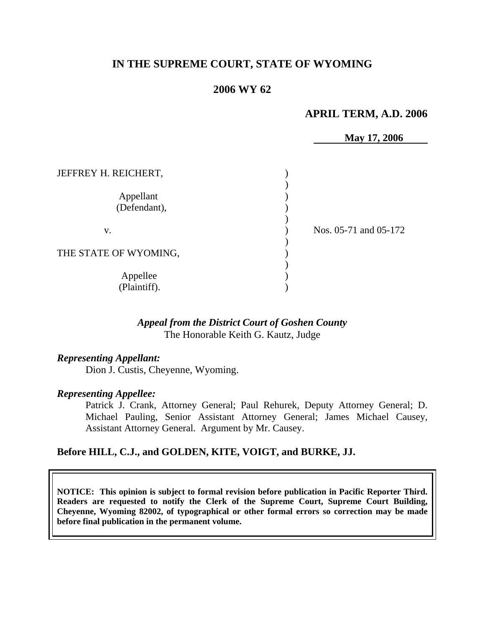# **IN THE SUPREME COURT, STATE OF WYOMING**

## **2006 WY 62**

### **APRIL TERM, A.D. 2006**

|                                   | May 17, 2006          |
|-----------------------------------|-----------------------|
| JEFFREY H. REICHERT,<br>Appellant |                       |
| (Defendant),                      |                       |
| V.                                | Nos. 05-71 and 05-172 |
| THE STATE OF WYOMING,             |                       |
| Appellee<br>(Plaintiff).          |                       |

### *Appeal from the District Court of Goshen County* The Honorable Keith G. Kautz, Judge

#### *Representing Appellant:*

Dion J. Custis, Cheyenne, Wyoming.

#### *Representing Appellee:*

Patrick J. Crank, Attorney General; Paul Rehurek, Deputy Attorney General; D. Michael Pauling, Senior Assistant Attorney General; James Michael Causey, Assistant Attorney General. Argument by Mr. Causey.

#### **Before HILL, C.J., and GOLDEN, KITE, VOIGT, and BURKE, JJ.**

**NOTICE: This opinion is subject to formal revision before publication in Pacific Reporter Third. Readers are requested to notify the Clerk of the Supreme Court, Supreme Court Building, Cheyenne, Wyoming 82002, of typographical or other formal errors so correction may be made before final publication in the permanent volume.**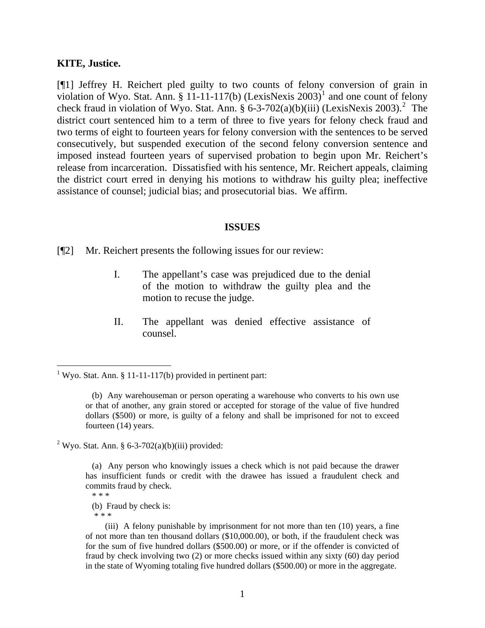#### **KITE, Justice.**

[¶1] Jeffrey H. Reichert pled guilty to two counts of felony conversion of grain in violation of Wyo. Stat. Ann. § [1](#page-2-0)1-11-117(b) (LexisNexis 2003)<sup>1</sup> and one count of felony check fraud in violation of Wyo. Stat. Ann. §  $6-3-702(a)(b)(iii)$  $6-3-702(a)(b)(iii)$  $6-3-702(a)(b)(iii)$  (LexisNexis 2003).<sup>2</sup> The district court sentenced him to a term of three to five years for felony check fraud and two terms of eight to fourteen years for felony conversion with the sentences to be served consecutively, but suspended execution of the second felony conversion sentence and imposed instead fourteen years of supervised probation to begin upon Mr. Reichert's release from incarceration. Dissatisfied with his sentence, Mr. Reichert appeals, claiming the district court erred in denying his motions to withdraw his guilty plea; ineffective assistance of counsel; judicial bias; and prosecutorial bias. We affirm.

#### **ISSUES**

[¶2] Mr. Reichert presents the following issues for our review:

- I. The appellant's case was prejudiced due to the denial of the motion to withdraw the guilty plea and the motion to recuse the judge.
- II. The appellant was denied effective assistance of counsel.

<span id="page-2-1"></span><sup>2</sup> Wyo. Stat. Ann. § 6-3-702(a)(b)(iii) provided:

\* \* \*

 $\overline{a}$ 

<span id="page-2-0"></span><sup>&</sup>lt;sup>1</sup> Wyo. Stat. Ann. § 11-11-117(b) provided in pertinent part:

 <sup>(</sup>b) Any warehouseman or person operating a warehouse who converts to his own use or that of another, any grain stored or accepted for storage of the value of five hundred dollars (\$500) or more, is guilty of a felony and shall be imprisoned for not to exceed fourteen (14) years.

 <sup>(</sup>a) Any person who knowingly issues a check which is not paid because the drawer has insufficient funds or credit with the drawee has issued a fraudulent check and commits fraud by check. \* \* \*

 <sup>(</sup>b) Fraud by check is:

 <sup>(</sup>iii) A felony punishable by imprisonment for not more than ten (10) years, a fine of not more than ten thousand dollars (\$10,000.00), or both, if the fraudulent check was for the sum of five hundred dollars (\$500.00) or more, or if the offender is convicted of fraud by check involving two (2) or more checks issued within any sixty (60) day period in the state of Wyoming totaling five hundred dollars (\$500.00) or more in the aggregate.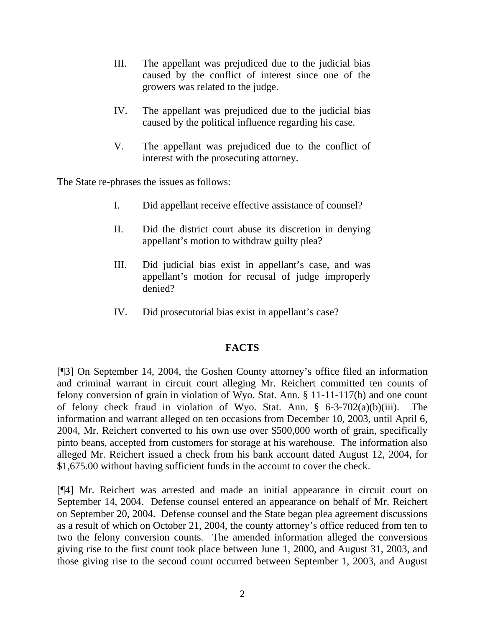- III. The appellant was prejudiced due to the judicial bias caused by the conflict of interest since one of the growers was related to the judge.
- IV. The appellant was prejudiced due to the judicial bias caused by the political influence regarding his case.
- V. The appellant was prejudiced due to the conflict of interest with the prosecuting attorney.

The State re-phrases the issues as follows:

- I. Did appellant receive effective assistance of counsel?
- II. Did the district court abuse its discretion in denying appellant's motion to withdraw guilty plea?
- III. Did judicial bias exist in appellant's case, and was appellant's motion for recusal of judge improperly denied?
- IV. Did prosecutorial bias exist in appellant's case?

### **FACTS**

[¶3] On September 14, 2004, the Goshen County attorney's office filed an information and criminal warrant in circuit court alleging Mr. Reichert committed ten counts of felony conversion of grain in violation of Wyo. Stat. Ann. § 11-11-117(b) and one count of felony check fraud in violation of Wyo. Stat. Ann. § 6-3-702(a)(b)(iii). The information and warrant alleged on ten occasions from December 10, 2003, until April 6, 2004, Mr. Reichert converted to his own use over \$500,000 worth of grain, specifically pinto beans, accepted from customers for storage at his warehouse. The information also alleged Mr. Reichert issued a check from his bank account dated August 12, 2004, for \$1,675.00 without having sufficient funds in the account to cover the check.

[¶4] Mr. Reichert was arrested and made an initial appearance in circuit court on September 14, 2004. Defense counsel entered an appearance on behalf of Mr. Reichert on September 20, 2004. Defense counsel and the State began plea agreement discussions as a result of which on October 21, 2004, the county attorney's office reduced from ten to two the felony conversion counts. The amended information alleged the conversions giving rise to the first count took place between June 1, 2000, and August 31, 2003, and those giving rise to the second count occurred between September 1, 2003, and August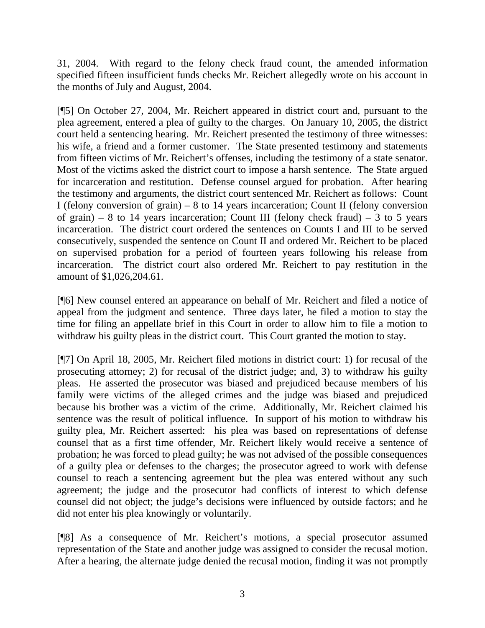31, 2004. With regard to the felony check fraud count, the amended information specified fifteen insufficient funds checks Mr. Reichert allegedly wrote on his account in the months of July and August, 2004.

[¶5] On October 27, 2004, Mr. Reichert appeared in district court and, pursuant to the plea agreement, entered a plea of guilty to the charges. On January 10, 2005, the district court held a sentencing hearing. Mr. Reichert presented the testimony of three witnesses: his wife, a friend and a former customer. The State presented testimony and statements from fifteen victims of Mr. Reichert's offenses, including the testimony of a state senator. Most of the victims asked the district court to impose a harsh sentence. The State argued for incarceration and restitution. Defense counsel argued for probation. After hearing the testimony and arguments, the district court sentenced Mr. Reichert as follows: Count I (felony conversion of grain) – 8 to 14 years incarceration; Count II (felony conversion of grain) – 8 to 14 years incarceration; Count III (felony check fraud) – 3 to 5 years incarceration. The district court ordered the sentences on Counts I and III to be served consecutively, suspended the sentence on Count II and ordered Mr. Reichert to be placed on supervised probation for a period of fourteen years following his release from incarceration. The district court also ordered Mr. Reichert to pay restitution in the amount of \$1,026,204.61.

[¶6] New counsel entered an appearance on behalf of Mr. Reichert and filed a notice of appeal from the judgment and sentence. Three days later, he filed a motion to stay the time for filing an appellate brief in this Court in order to allow him to file a motion to withdraw his guilty pleas in the district court. This Court granted the motion to stay.

[¶7] On April 18, 2005, Mr. Reichert filed motions in district court: 1) for recusal of the prosecuting attorney; 2) for recusal of the district judge; and, 3) to withdraw his guilty pleas. He asserted the prosecutor was biased and prejudiced because members of his family were victims of the alleged crimes and the judge was biased and prejudiced because his brother was a victim of the crime. Additionally, Mr. Reichert claimed his sentence was the result of political influence. In support of his motion to withdraw his guilty plea, Mr. Reichert asserted: his plea was based on representations of defense counsel that as a first time offender, Mr. Reichert likely would receive a sentence of probation; he was forced to plead guilty; he was not advised of the possible consequences of a guilty plea or defenses to the charges; the prosecutor agreed to work with defense counsel to reach a sentencing agreement but the plea was entered without any such agreement; the judge and the prosecutor had conflicts of interest to which defense counsel did not object; the judge's decisions were influenced by outside factors; and he did not enter his plea knowingly or voluntarily.

[¶8] As a consequence of Mr. Reichert's motions, a special prosecutor assumed representation of the State and another judge was assigned to consider the recusal motion. After a hearing, the alternate judge denied the recusal motion, finding it was not promptly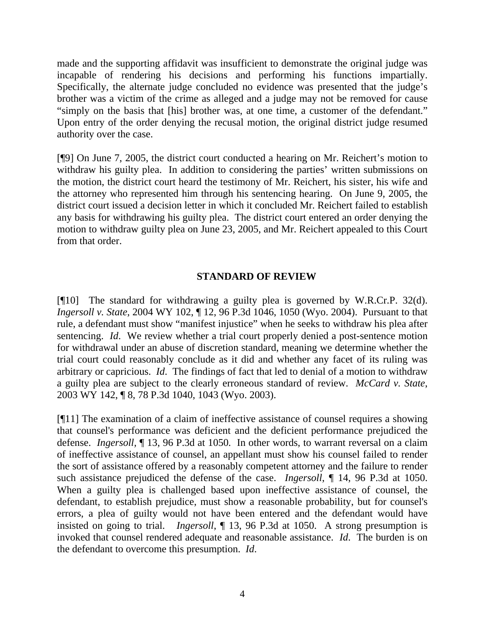made and the supporting affidavit was insufficient to demonstrate the original judge was incapable of rendering his decisions and performing his functions impartially. Specifically, the alternate judge concluded no evidence was presented that the judge's brother was a victim of the crime as alleged and a judge may not be removed for cause "simply on the basis that [his] brother was, at one time, a customer of the defendant." Upon entry of the order denying the recusal motion, the original district judge resumed authority over the case.

[¶9] On June 7, 2005, the district court conducted a hearing on Mr. Reichert's motion to withdraw his guilty plea. In addition to considering the parties' written submissions on the motion, the district court heard the testimony of Mr. Reichert, his sister, his wife and the attorney who represented him through his sentencing hearing. On June 9, 2005, the district court issued a decision letter in which it concluded Mr. Reichert failed to establish any basis for withdrawing his guilty plea. The district court entered an order denying the motion to withdraw guilty plea on June 23, 2005, and Mr. Reichert appealed to this Court from that order.

## **STANDARD OF REVIEW**

[¶10] The standard for withdrawing a guilty plea is governed by W.R.Cr.P. 32(d). *Ingersoll v. State*, 2004 WY 102, ¶ 12, 96 P.3d 1046, 1050 (Wyo. 2004). Pursuant to that rule, a defendant must show "manifest injustice" when he seeks to withdraw his plea after sentencing. *Id*. We review whether a trial court properly denied a post-sentence motion for withdrawal under an abuse of discretion standard, meaning we determine whether the trial court could reasonably conclude as it did and whether any facet of its ruling was arbitrary or capricious. *Id*. The findings of fact that led to denial of a motion to withdraw a guilty plea are subject to the clearly erroneous standard of review. *McCard v. State*, 2003 WY 142, ¶ 8, 78 P.3d 1040, 1043 (Wyo. 2003).

[¶11] The examination of a claim of ineffective assistance of counsel requires a showing that counsel's performance was deficient and the deficient performance prejudiced the defense. *Ingersoll,* ¶ 13, 96 P.3d at 1050*.* In other words, to warrant reversal on a claim of ineffective assistance of counsel, an appellant must show his counsel failed to render the sort of assistance offered by a reasonably competent attorney and the failure to render such assistance prejudiced the defense of the case. *Ingersoll*, ¶ 14, 96 P.3d at 1050. When a guilty plea is challenged based upon ineffective assistance of counsel, the defendant, to establish prejudice, must show a reasonable probability, but for counsel's errors, a plea of guilty would not have been entered and the defendant would have insisted on going to trial. *Ingersoll*, ¶ 13, 96 P.3d at 1050. A strong presumption is invoked that counsel rendered adequate and reasonable assistance. *Id*. The burden is on the defendant to overcome this presumption. *Id*.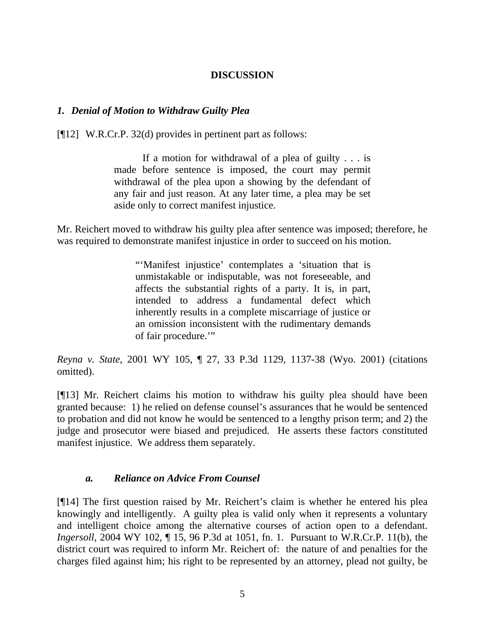# **DISCUSSION**

# *1. Denial of Motion to Withdraw Guilty Plea*

[¶12] W.R.Cr.P. 32(d) provides in pertinent part as follows:

If a motion for withdrawal of a plea of guilty  $\ldots$  is made before sentence is imposed, the court may permit withdrawal of the plea upon a showing by the defendant of any fair and just reason. At any later time, a plea may be set aside only to correct manifest injustice.

Mr. Reichert moved to withdraw his guilty plea after sentence was imposed; therefore, he was required to demonstrate manifest injustice in order to succeed on his motion.

> "'Manifest injustice' contemplates a 'situation that is unmistakable or indisputable, was not foreseeable, and affects the substantial rights of a party. It is, in part, intended to address a fundamental defect which inherently results in a complete miscarriage of justice or an omission inconsistent with the rudimentary demands of fair procedure."

*Reyna v. State*, 2001 WY 105, ¶ 27, 33 P.3d 1129, 1137-38 (Wyo. 2001) (citations omitted).

[¶13] Mr. Reichert claims his motion to withdraw his guilty plea should have been granted because: 1) he relied on defense counsel's assurances that he would be sentenced to probation and did not know he would be sentenced to a lengthy prison term; and 2) the judge and prosecutor were biased and prejudiced. He asserts these factors constituted manifest injustice. We address them separately.

### *a. Reliance on Advice From Counsel*

[¶14] The first question raised by Mr. Reichert's claim is whether he entered his plea knowingly and intelligently. A guilty plea is valid only when it represents a voluntary and intelligent choice among the alternative courses of action open to a defendant. *Ingersoll*, 2004 WY 102, ¶ 15, 96 P.3d at 1051, fn. 1. Pursuant to W.R.Cr.P. 11(b), the district court was required to inform Mr. Reichert of: the nature of and penalties for the charges filed against him; his right to be represented by an attorney, plead not guilty, be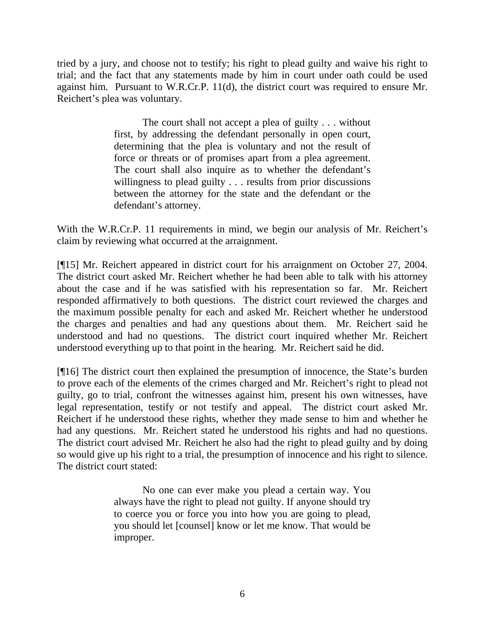tried by a jury, and choose not to testify; his right to plead guilty and waive his right to trial; and the fact that any statements made by him in court under oath could be used against him. Pursuant to W.R.Cr.P. 11(d), the district court was required to ensure Mr. Reichert's plea was voluntary.

> The court shall not accept a plea of guilty . . . without first, by addressing the defendant personally in open court, determining that the plea is voluntary and not the result of force or threats or of promises apart from a plea agreement. The court shall also inquire as to whether the defendant's willingness to plead guilty . . . results from prior discussions between the attorney for the state and the defendant or the defendant's attorney.

With the W.R.Cr.P. 11 requirements in mind, we begin our analysis of Mr. Reichert's claim by reviewing what occurred at the arraignment.

[¶15] Mr. Reichert appeared in district court for his arraignment on October 27, 2004. The district court asked Mr. Reichert whether he had been able to talk with his attorney about the case and if he was satisfied with his representation so far. Mr. Reichert responded affirmatively to both questions. The district court reviewed the charges and the maximum possible penalty for each and asked Mr. Reichert whether he understood the charges and penalties and had any questions about them. Mr. Reichert said he understood and had no questions. The district court inquired whether Mr. Reichert understood everything up to that point in the hearing. Mr. Reichert said he did.

[¶16] The district court then explained the presumption of innocence, the State's burden to prove each of the elements of the crimes charged and Mr. Reichert's right to plead not guilty, go to trial, confront the witnesses against him, present his own witnesses, have legal representation, testify or not testify and appeal. The district court asked Mr. Reichert if he understood these rights, whether they made sense to him and whether he had any questions. Mr. Reichert stated he understood his rights and had no questions. The district court advised Mr. Reichert he also had the right to plead guilty and by doing so would give up his right to a trial, the presumption of innocence and his right to silence. The district court stated:

> No one can ever make you plead a certain way. You always have the right to plead not guilty. If anyone should try to coerce you or force you into how you are going to plead, you should let [counsel] know or let me know. That would be improper.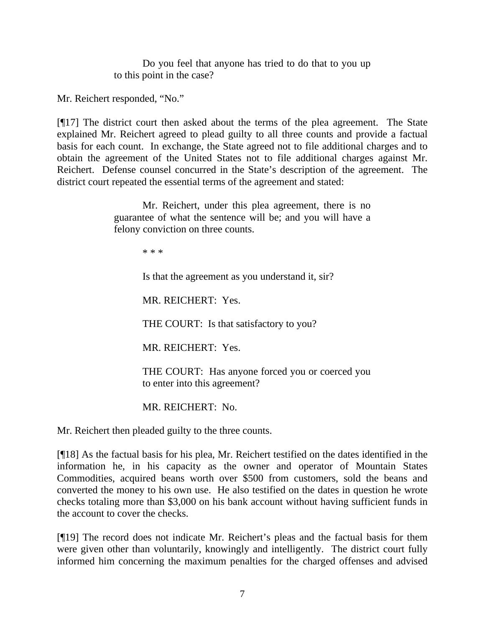Do you feel that anyone has tried to do that to you up to this point in the case?

Mr. Reichert responded, "No."

[¶17] The district court then asked about the terms of the plea agreement. The State explained Mr. Reichert agreed to plead guilty to all three counts and provide a factual basis for each count. In exchange, the State agreed not to file additional charges and to obtain the agreement of the United States not to file additional charges against Mr. Reichert. Defense counsel concurred in the State's description of the agreement. The district court repeated the essential terms of the agreement and stated:

> Mr. Reichert, under this plea agreement, there is no guarantee of what the sentence will be; and you will have a felony conviction on three counts.

> > \* \* \*

Is that the agreement as you understand it, sir?

MR. REICHERT: Yes.

THE COURT: Is that satisfactory to you?

MR. REICHERT: Yes.

 THE COURT: Has anyone forced you or coerced you to enter into this agreement?

MR. REICHERT: No.

Mr. Reichert then pleaded guilty to the three counts.

[¶18] As the factual basis for his plea, Mr. Reichert testified on the dates identified in the information he, in his capacity as the owner and operator of Mountain States Commodities, acquired beans worth over \$500 from customers, sold the beans and converted the money to his own use. He also testified on the dates in question he wrote checks totaling more than \$3,000 on his bank account without having sufficient funds in the account to cover the checks.

[¶19] The record does not indicate Mr. Reichert's pleas and the factual basis for them were given other than voluntarily, knowingly and intelligently. The district court fully informed him concerning the maximum penalties for the charged offenses and advised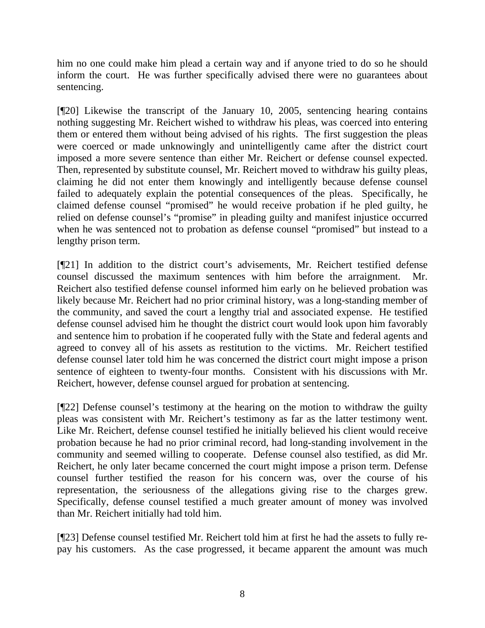him no one could make him plead a certain way and if anyone tried to do so he should inform the court. He was further specifically advised there were no guarantees about sentencing.

[¶20] Likewise the transcript of the January 10, 2005, sentencing hearing contains nothing suggesting Mr. Reichert wished to withdraw his pleas, was coerced into entering them or entered them without being advised of his rights. The first suggestion the pleas were coerced or made unknowingly and unintelligently came after the district court imposed a more severe sentence than either Mr. Reichert or defense counsel expected. Then, represented by substitute counsel, Mr. Reichert moved to withdraw his guilty pleas, claiming he did not enter them knowingly and intelligently because defense counsel failed to adequately explain the potential consequences of the pleas. Specifically, he claimed defense counsel "promised" he would receive probation if he pled guilty, he relied on defense counsel's "promise" in pleading guilty and manifest injustice occurred when he was sentenced not to probation as defense counsel "promised" but instead to a lengthy prison term.

[¶21] In addition to the district court's advisements, Mr. Reichert testified defense counsel discussed the maximum sentences with him before the arraignment. Mr. Reichert also testified defense counsel informed him early on he believed probation was likely because Mr. Reichert had no prior criminal history, was a long-standing member of the community, and saved the court a lengthy trial and associated expense. He testified defense counsel advised him he thought the district court would look upon him favorably and sentence him to probation if he cooperated fully with the State and federal agents and agreed to convey all of his assets as restitution to the victims. Mr. Reichert testified defense counsel later told him he was concerned the district court might impose a prison sentence of eighteen to twenty-four months. Consistent with his discussions with Mr. Reichert, however, defense counsel argued for probation at sentencing.

[¶22] Defense counsel's testimony at the hearing on the motion to withdraw the guilty pleas was consistent with Mr. Reichert's testimony as far as the latter testimony went. Like Mr. Reichert, defense counsel testified he initially believed his client would receive probation because he had no prior criminal record, had long-standing involvement in the community and seemed willing to cooperate. Defense counsel also testified, as did Mr. Reichert, he only later became concerned the court might impose a prison term. Defense counsel further testified the reason for his concern was, over the course of his representation, the seriousness of the allegations giving rise to the charges grew. Specifically, defense counsel testified a much greater amount of money was involved than Mr. Reichert initially had told him.

[¶23] Defense counsel testified Mr. Reichert told him at first he had the assets to fully repay his customers. As the case progressed, it became apparent the amount was much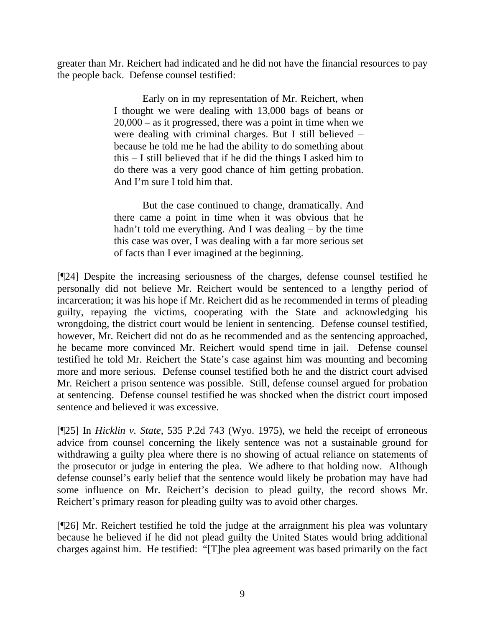greater than Mr. Reichert had indicated and he did not have the financial resources to pay the people back. Defense counsel testified:

> Early on in my representation of Mr. Reichert, when I thought we were dealing with 13,000 bags of beans or 20,000 – as it progressed, there was a point in time when we were dealing with criminal charges. But I still believed – because he told me he had the ability to do something about this – I still believed that if he did the things I asked him to do there was a very good chance of him getting probation. And I'm sure I told him that.

> But the case continued to change, dramatically. And there came a point in time when it was obvious that he hadn't told me everything. And I was dealing – by the time this case was over, I was dealing with a far more serious set of facts than I ever imagined at the beginning.

[¶24] Despite the increasing seriousness of the charges, defense counsel testified he personally did not believe Mr. Reichert would be sentenced to a lengthy period of incarceration; it was his hope if Mr. Reichert did as he recommended in terms of pleading guilty, repaying the victims, cooperating with the State and acknowledging his wrongdoing, the district court would be lenient in sentencing. Defense counsel testified, however, Mr. Reichert did not do as he recommended and as the sentencing approached, he became more convinced Mr. Reichert would spend time in jail. Defense counsel testified he told Mr. Reichert the State's case against him was mounting and becoming more and more serious. Defense counsel testified both he and the district court advised Mr. Reichert a prison sentence was possible. Still, defense counsel argued for probation at sentencing. Defense counsel testified he was shocked when the district court imposed sentence and believed it was excessive.

[¶25] In *Hicklin v. State*, 535 P.2d 743 (Wyo. 1975), we held the receipt of erroneous advice from counsel concerning the likely sentence was not a sustainable ground for withdrawing a guilty plea where there is no showing of actual reliance on statements of the prosecutor or judge in entering the plea. We adhere to that holding now. Although defense counsel's early belief that the sentence would likely be probation may have had some influence on Mr. Reichert's decision to plead guilty, the record shows Mr. Reichert's primary reason for pleading guilty was to avoid other charges.

[¶26] Mr. Reichert testified he told the judge at the arraignment his plea was voluntary because he believed if he did not plead guilty the United States would bring additional charges against him. He testified: "[T]he plea agreement was based primarily on the fact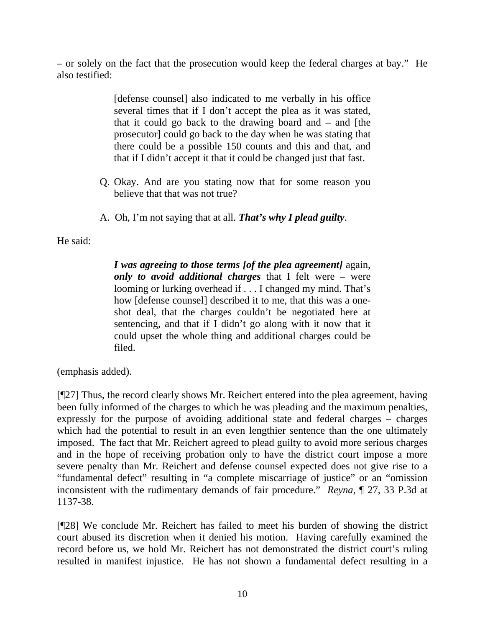– or solely on the fact that the prosecution would keep the federal charges at bay." He also testified:

> [defense counsel] also indicated to me verbally in his office several times that if I don't accept the plea as it was stated, that it could go back to the drawing board and – and [the prosecutor] could go back to the day when he was stating that there could be a possible 150 counts and this and that, and that if I didn't accept it that it could be changed just that fast.

- Q. Okay. And are you stating now that for some reason you believe that that was not true?
- A. Oh, I'm not saying that at all. *That's why I plead guilty*.

He said:

*I was agreeing to those terms [of the plea agreement]* again, *only to avoid additional charges* that I felt were – were looming or lurking overhead if . . . I changed my mind. That's how [defense counsel] described it to me, that this was a oneshot deal, that the charges couldn't be negotiated here at sentencing, and that if I didn't go along with it now that it could upset the whole thing and additional charges could be filed.

(emphasis added).

[¶27] Thus, the record clearly shows Mr. Reichert entered into the plea agreement, having been fully informed of the charges to which he was pleading and the maximum penalties, expressly for the purpose of avoiding additional state and federal charges – charges which had the potential to result in an even lengthier sentence than the one ultimately imposed. The fact that Mr. Reichert agreed to plead guilty to avoid more serious charges and in the hope of receiving probation only to have the district court impose a more severe penalty than Mr. Reichert and defense counsel expected does not give rise to a "fundamental defect" resulting in "a complete miscarriage of justice" or an "omission inconsistent with the rudimentary demands of fair procedure." *Reyna*, ¶ 27, 33 P.3d at 1137-38.

[¶28] We conclude Mr. Reichert has failed to meet his burden of showing the district court abused its discretion when it denied his motion. Having carefully examined the record before us, we hold Mr. Reichert has not demonstrated the district court's ruling resulted in manifest injustice. He has not shown a fundamental defect resulting in a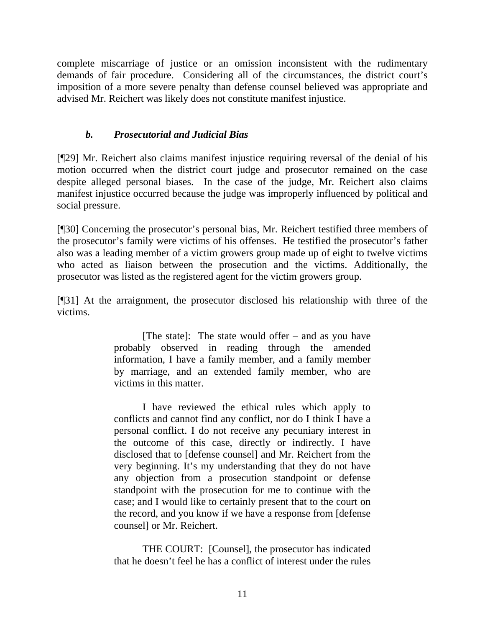complete miscarriage of justice or an omission inconsistent with the rudimentary demands of fair procedure. Considering all of the circumstances, the district court's imposition of a more severe penalty than defense counsel believed was appropriate and advised Mr. Reichert was likely does not constitute manifest injustice.

# *b. Prosecutorial and Judicial Bias*

[¶29] Mr. Reichert also claims manifest injustice requiring reversal of the denial of his motion occurred when the district court judge and prosecutor remained on the case despite alleged personal biases. In the case of the judge, Mr. Reichert also claims manifest injustice occurred because the judge was improperly influenced by political and social pressure.

[¶30] Concerning the prosecutor's personal bias, Mr. Reichert testified three members of the prosecutor's family were victims of his offenses. He testified the prosecutor's father also was a leading member of a victim growers group made up of eight to twelve victims who acted as liaison between the prosecution and the victims. Additionally, the prosecutor was listed as the registered agent for the victim growers group.

[¶31] At the arraignment, the prosecutor disclosed his relationship with three of the victims.

> [The state]: The state would offer – and as you have probably observed in reading through the amended information, I have a family member, and a family member by marriage, and an extended family member, who are victims in this matter.

> I have reviewed the ethical rules which apply to conflicts and cannot find any conflict, nor do I think I have a personal conflict. I do not receive any pecuniary interest in the outcome of this case, directly or indirectly. I have disclosed that to [defense counsel] and Mr. Reichert from the very beginning. It's my understanding that they do not have any objection from a prosecution standpoint or defense standpoint with the prosecution for me to continue with the case; and I would like to certainly present that to the court on the record, and you know if we have a response from [defense counsel] or Mr. Reichert.

> THE COURT: [Counsel], the prosecutor has indicated that he doesn't feel he has a conflict of interest under the rules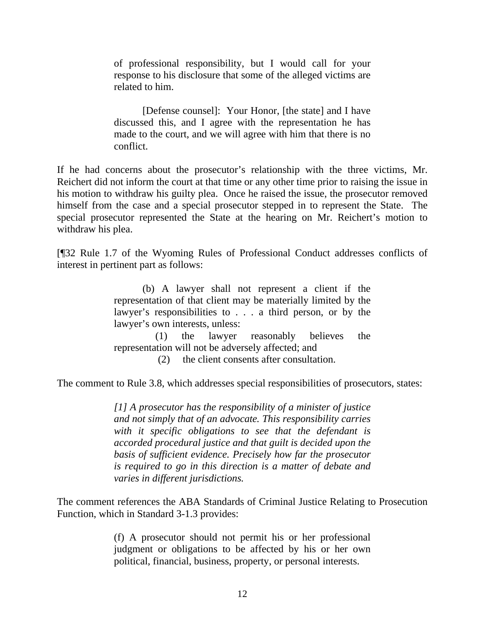of professional responsibility, but I would call for your response to his disclosure that some of the alleged victims are related to him.

 [Defense counsel]: Your Honor, [the state] and I have discussed this, and I agree with the representation he has made to the court, and we will agree with him that there is no conflict.

If he had concerns about the prosecutor's relationship with the three victims, Mr. Reichert did not inform the court at that time or any other time prior to raising the issue in his motion to withdraw his guilty plea. Once he raised the issue, the prosecutor removed himself from the case and a special prosecutor stepped in to represent the State. The special prosecutor represented the State at the hearing on Mr. Reichert's motion to withdraw his plea.

[¶32 Rule 1.7 of the Wyoming Rules of Professional Conduct addresses conflicts of interest in pertinent part as follows:

> (b) A lawyer shall not represent a client if the representation of that client may be materially limited by the lawyer's responsibilities to . . . a third person, or by the lawyer's own interests, unless:

> (1) the lawyer reasonably believes the representation will not be adversely affected; and

> > (2) the client consents after consultation.

The comment to Rule 3.8, which addresses special responsibilities of prosecutors, states:

*[1] A prosecutor has the responsibility of a minister of justice and not simply that of an advocate. This responsibility carries with it specific obligations to see that the defendant is accorded procedural justice and that guilt is decided upon the basis of sufficient evidence. Precisely how far the prosecutor is required to go in this direction is a matter of debate and varies in different jurisdictions.* 

The comment references the ABA Standards of Criminal Justice Relating to Prosecution Function, which in Standard 3-1.3 provides:

> (f) A prosecutor should not permit his or her professional judgment or obligations to be affected by his or her own political, financial, business, property, or personal interests.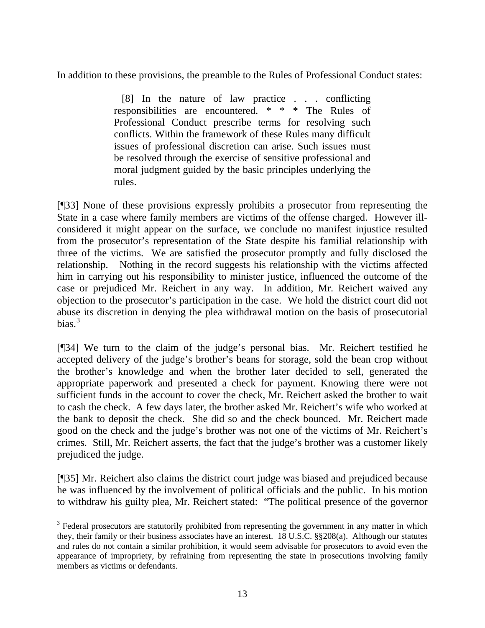In addition to these provisions, the preamble to the Rules of Professional Conduct states:

 [8] In the nature of law practice . . . conflicting responsibilities are encountered. \* \* \* The Rules of Professional Conduct prescribe terms for resolving such conflicts. Within the framework of these Rules many difficult issues of professional discretion can arise. Such issues must be resolved through the exercise of sensitive professional and moral judgment guided by the basic principles underlying the rules.

[¶33] None of these provisions expressly prohibits a prosecutor from representing the State in a case where family members are victims of the offense charged. However illconsidered it might appear on the surface, we conclude no manifest injustice resulted from the prosecutor's representation of the State despite his familial relationship with three of the victims. We are satisfied the prosecutor promptly and fully disclosed the relationship. Nothing in the record suggests his relationship with the victims affected him in carrying out his responsibility to minister justice, influenced the outcome of the case or prejudiced Mr. Reichert in any way. In addition, Mr. Reichert waived any objection to the prosecutor's participation in the case. We hold the district court did not abuse its discretion in denying the plea withdrawal motion on the basis of prosecutorial bias. $3$ 

[¶34] We turn to the claim of the judge's personal bias. Mr. Reichert testified he accepted delivery of the judge's brother's beans for storage, sold the bean crop without the brother's knowledge and when the brother later decided to sell, generated the appropriate paperwork and presented a check for payment. Knowing there were not sufficient funds in the account to cover the check, Mr. Reichert asked the brother to wait to cash the check. A few days later, the brother asked Mr. Reichert's wife who worked at the bank to deposit the check. She did so and the check bounced. Mr. Reichert made good on the check and the judge's brother was not one of the victims of Mr. Reichert's crimes. Still, Mr. Reichert asserts, the fact that the judge's brother was a customer likely prejudiced the judge.

[¶35] Mr. Reichert also claims the district court judge was biased and prejudiced because he was influenced by the involvement of political officials and the public. In his motion to withdraw his guilty plea, Mr. Reichert stated: "The political presence of the governor

 $\overline{a}$ 

<span id="page-14-0"></span> $3$  Federal prosecutors are statutorily prohibited from representing the government in any matter in which they, their family or their business associates have an interest. 18 U.S.C. §§208(a). Although our statutes and rules do not contain a similar prohibition, it would seem advisable for prosecutors to avoid even the appearance of impropriety, by refraining from representing the state in prosecutions involving family members as victims or defendants.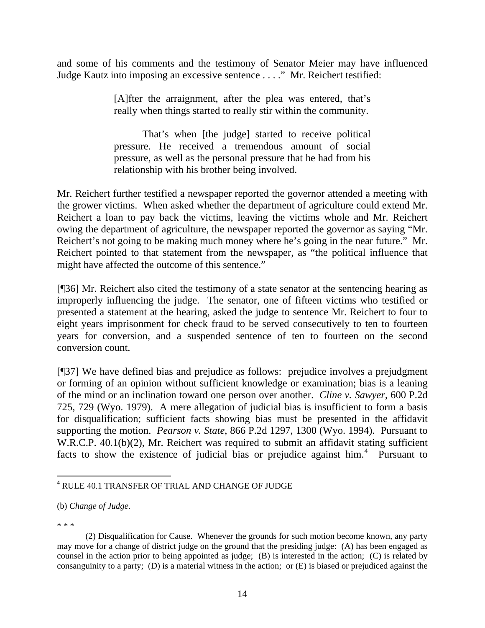and some of his comments and the testimony of Senator Meier may have influenced Judge Kautz into imposing an excessive sentence . . . ." Mr. Reichert testified:

> [A]fter the arraignment, after the plea was entered, that's really when things started to really stir within the community.

> That's when [the judge] started to receive political pressure. He received a tremendous amount of social pressure, as well as the personal pressure that he had from his relationship with his brother being involved.

Mr. Reichert further testified a newspaper reported the governor attended a meeting with the grower victims. When asked whether the department of agriculture could extend Mr. Reichert a loan to pay back the victims, leaving the victims whole and Mr. Reichert owing the department of agriculture, the newspaper reported the governor as saying "Mr. Reichert's not going to be making much money where he's going in the near future." Mr. Reichert pointed to that statement from the newspaper, as "the political influence that might have affected the outcome of this sentence."

[¶36] Mr. Reichert also cited the testimony of a state senator at the sentencing hearing as improperly influencing the judge. The senator, one of fifteen victims who testified or presented a statement at the hearing, asked the judge to sentence Mr. Reichert to four to eight years imprisonment for check fraud to be served consecutively to ten to fourteen years for conversion, and a suspended sentence of ten to fourteen on the second conversion count.

[¶37] We have defined bias and prejudice as follows: prejudice involves a prejudgment or forming of an opinion without sufficient knowledge or examination; bias is a leaning of the mind or an inclination toward one person over another. *Cline v. Sawyer*, 600 P.2d 725, 729 (Wyo. 1979). A mere allegation of judicial bias is insufficient to form a basis for disqualification; sufficient facts showing bias must be presented in the affidavit supporting the motion. *Pearson v. State*, 866 P.2d 1297, 1300 (Wyo. 1994). Pursuant to W.R.C.P. 40.1(b)(2), Mr. Reichert was required to submit an affidavit stating sufficient facts to show the existence of judicial bias or prejudice against him.<sup>[4](#page-15-0)</sup> Pursuant to

\* \* \*

<span id="page-15-0"></span> 4 RULE 40.1 TRANSFER OF TRIAL AND CHANGE OF JUDGE

<sup>(</sup>b) *Change of Judge*.

 <sup>(2)</sup> Disqualification for Cause. Whenever the grounds for such motion become known, any party may move for a change of district judge on the ground that the presiding judge: (A) has been engaged as counsel in the action prior to being appointed as judge; (B) is interested in the action; (C) is related by consanguinity to a party; (D) is a material witness in the action; or (E) is biased or prejudiced against the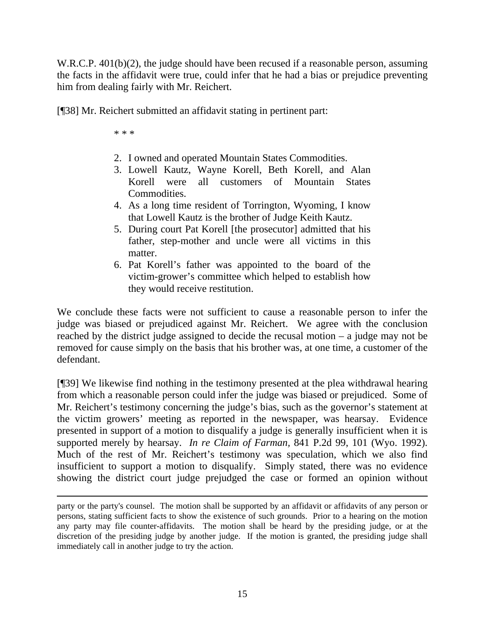W.R.C.P. 401(b)(2), the judge should have been recused if a reasonable person, assuming the facts in the affidavit were true, could infer that he had a bias or prejudice preventing him from dealing fairly with Mr. Reichert.

[¶38] Mr. Reichert submitted an affidavit stating in pertinent part:

\* \* \*

- 2. I owned and operated Mountain States Commodities.
- 3. Lowell Kautz, Wayne Korell, Beth Korell, and Alan Korell were all customers of Mountain States Commodities.
- 4. As a long time resident of Torrington, Wyoming, I know that Lowell Kautz is the brother of Judge Keith Kautz.
- 5. During court Pat Korell [the prosecutor] admitted that his father, step-mother and uncle were all victims in this matter.
- 6. Pat Korell's father was appointed to the board of the victim-grower's committee which helped to establish how they would receive restitution.

We conclude these facts were not sufficient to cause a reasonable person to infer the judge was biased or prejudiced against Mr. Reichert. We agree with the conclusion reached by the district judge assigned to decide the recusal motion – a judge may not be removed for cause simply on the basis that his brother was, at one time, a customer of the defendant.

[¶39] We likewise find nothing in the testimony presented at the plea withdrawal hearing from which a reasonable person could infer the judge was biased or prejudiced. Some of Mr. Reichert's testimony concerning the judge's bias, such as the governor's statement at the victim growers' meeting as reported in the newspaper, was hearsay. Evidence presented in support of a motion to disqualify a judge is generally insufficient when it is supported merely by hearsay. *In re Claim of Farman,* 841 P.2d 99, 101 (Wyo. 1992). Much of the rest of Mr. Reichert's testimony was speculation, which we also find insufficient to support a motion to disqualify. Simply stated, there was no evidence showing the district court judge prejudged the case or formed an opinion without

party or the party's counsel. The motion shall be supported by an affidavit or affidavits of any person or persons, stating sufficient facts to show the existence of such grounds. Prior to a hearing on the motion any party may file counter-affidavits. The motion shall be heard by the presiding judge, or at the discretion of the presiding judge by another judge. If the motion is granted, the presiding judge shall immediately call in another judge to try the action.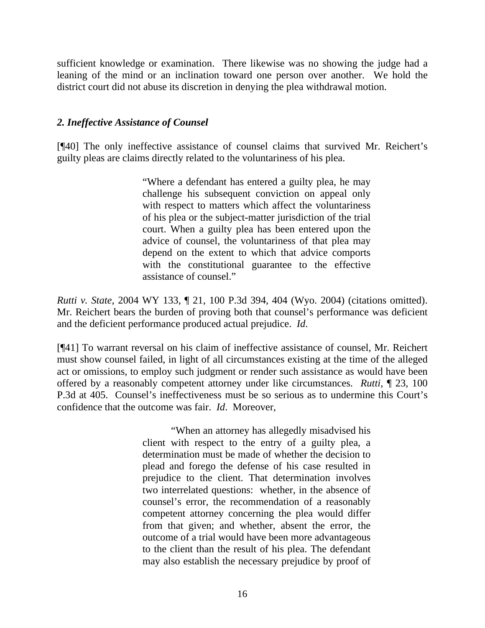sufficient knowledge or examination. There likewise was no showing the judge had a leaning of the mind or an inclination toward one person over another. We hold the district court did not abuse its discretion in denying the plea withdrawal motion.

## *2. Ineffective Assistance of Counsel*

[¶40] The only ineffective assistance of counsel claims that survived Mr. Reichert's guilty pleas are claims directly related to the voluntariness of his plea.

> "Where a defendant has entered a guilty plea, he may challenge his subsequent conviction on appeal only with respect to matters which affect the voluntariness of his plea or the subject-matter jurisdiction of the trial court. When a guilty plea has been entered upon the advice of counsel, the voluntariness of that plea may depend on the extent to which that advice comports with the constitutional guarantee to the effective assistance of counsel."

*Rutti v. State*, 2004 WY 133, ¶ 21, 100 P.3d 394, 404 (Wyo. 2004) (citations omitted). Mr. Reichert bears the burden of proving both that counsel's performance was deficient and the deficient performance produced actual prejudice. *Id*.

[¶41] To warrant reversal on his claim of ineffective assistance of counsel, Mr. Reichert must show counsel failed, in light of all circumstances existing at the time of the alleged act or omissions, to employ such judgment or render such assistance as would have been offered by a reasonably competent attorney under like circumstances. *Rutti*, ¶ 23, 100 P.3d at 405. Counsel's ineffectiveness must be so serious as to undermine this Court's confidence that the outcome was fair. *Id*. Moreover,

> "When an attorney has allegedly misadvised his client with respect to the entry of a guilty plea, a determination must be made of whether the decision to plead and forego the defense of his case resulted in prejudice to the client. That determination involves two interrelated questions: whether, in the absence of counsel's error, the recommendation of a reasonably competent attorney concerning the plea would differ from that given; and whether, absent the error, the outcome of a trial would have been more advantageous to the client than the result of his plea. The defendant may also establish the necessary prejudice by proof of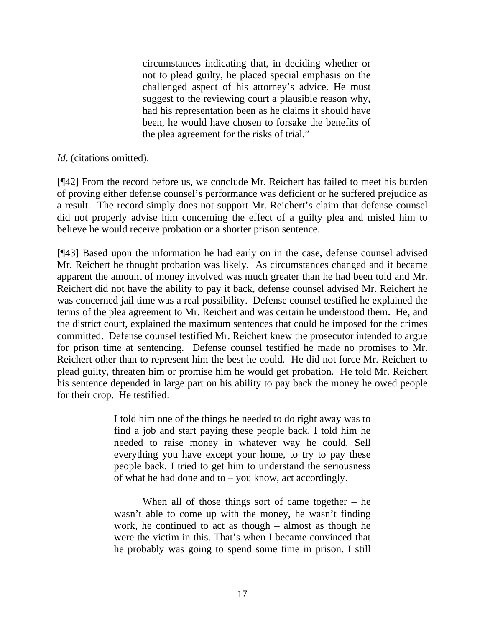circumstances indicating that, in deciding whether or not to plead guilty, he placed special emphasis on the challenged aspect of his attorney's advice. He must suggest to the reviewing court a plausible reason why, had his representation been as he claims it should have been, he would have chosen to forsake the benefits of the plea agreement for the risks of trial."

## *Id.* (citations omitted).

[¶42] From the record before us, we conclude Mr. Reichert has failed to meet his burden of proving either defense counsel's performance was deficient or he suffered prejudice as a result. The record simply does not support Mr. Reichert's claim that defense counsel did not properly advise him concerning the effect of a guilty plea and misled him to believe he would receive probation or a shorter prison sentence.

[¶43] Based upon the information he had early on in the case, defense counsel advised Mr. Reichert he thought probation was likely. As circumstances changed and it became apparent the amount of money involved was much greater than he had been told and Mr. Reichert did not have the ability to pay it back, defense counsel advised Mr. Reichert he was concerned jail time was a real possibility. Defense counsel testified he explained the terms of the plea agreement to Mr. Reichert and was certain he understood them. He, and the district court, explained the maximum sentences that could be imposed for the crimes committed. Defense counsel testified Mr. Reichert knew the prosecutor intended to argue for prison time at sentencing. Defense counsel testified he made no promises to Mr. Reichert other than to represent him the best he could. He did not force Mr. Reichert to plead guilty, threaten him or promise him he would get probation. He told Mr. Reichert his sentence depended in large part on his ability to pay back the money he owed people for their crop. He testified:

> I told him one of the things he needed to do right away was to find a job and start paying these people back. I told him he needed to raise money in whatever way he could. Sell everything you have except your home, to try to pay these people back. I tried to get him to understand the seriousness of what he had done and to – you know, act accordingly.

> When all of those things sort of came together – he wasn't able to come up with the money, he wasn't finding work, he continued to act as though – almost as though he were the victim in this. That's when I became convinced that he probably was going to spend some time in prison. I still